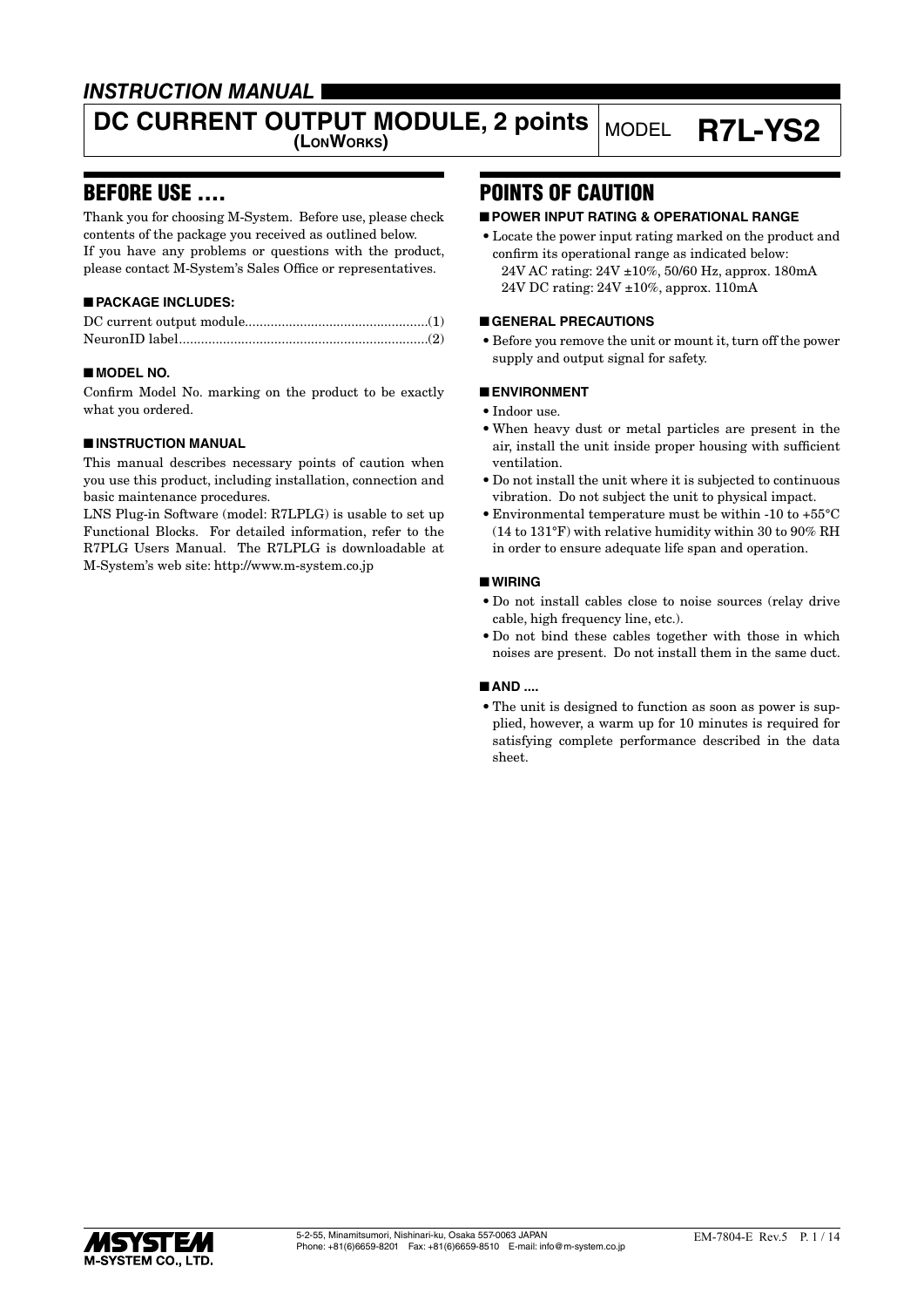### *INSTRUCTION MANUAL*

# DC CURRENT OUTPUT MODULE, 2 points MODEL **R7L-YS2**

### BEFORE USE ....

Thank you for choosing M-System. Before use, please check contents of the package you received as outlined below. If you have any problems or questions with the product, please contact M-System's Sales Office or representatives.

### ■ **PACKAGE INCLUDES:**

### ■ **MODEL NO.**

Confirm Model No. marking on the product to be exactly what you ordered.

### ■ **INSTRUCTION MANUAL**

This manual describes necessary points of caution when you use this product, including installation, connection and basic maintenance procedures.

LNS Plug-in Software (model: R7LPLG) is usable to set up Functional Blocks. For detailed information, refer to the R7PLG Users Manual. The R7LPLG is downloadable at M-System's web site: http://www.m-system.co.jp

## POINTS OF CAUTION

### ■ **POWER INPUT RATING & OPERATIONAL RANGE**

• Locate the power input rating marked on the product and confirm its operational range as indicated below: 24V AC rating: 24V ±10%, 50/60 Hz, approx. 180mA 24V DC rating: 24V ±10%, approx. 110mA

### ■ **GENERAL PRECAUTIONS**

• Before you remove the unit or mount it, turn off the power supply and output signal for safety.

### ■ **ENVIRONMENT**

- Indoor use.
- When heavy dust or metal particles are present in the air, install the unit inside proper housing with sufficient ventilation.
- Do not install the unit where it is subjected to continuous vibration. Do not subject the unit to physical impact.
- Environmental temperature must be within -10 to +55°C (14 to 131°F) with relative humidity within 30 to 90% RH in order to ensure adequate life span and operation.

### ■ **WIRING**

- Do not install cables close to noise sources (relay drive cable, high frequency line, etc.).
- Do not bind these cables together with those in which noises are present. Do not install them in the same duct.

### ■ **AND** ....

• The unit is designed to function as soon as power is supplied, however, a warm up for 10 minutes is required for satisfying complete performance described in the data sheet.

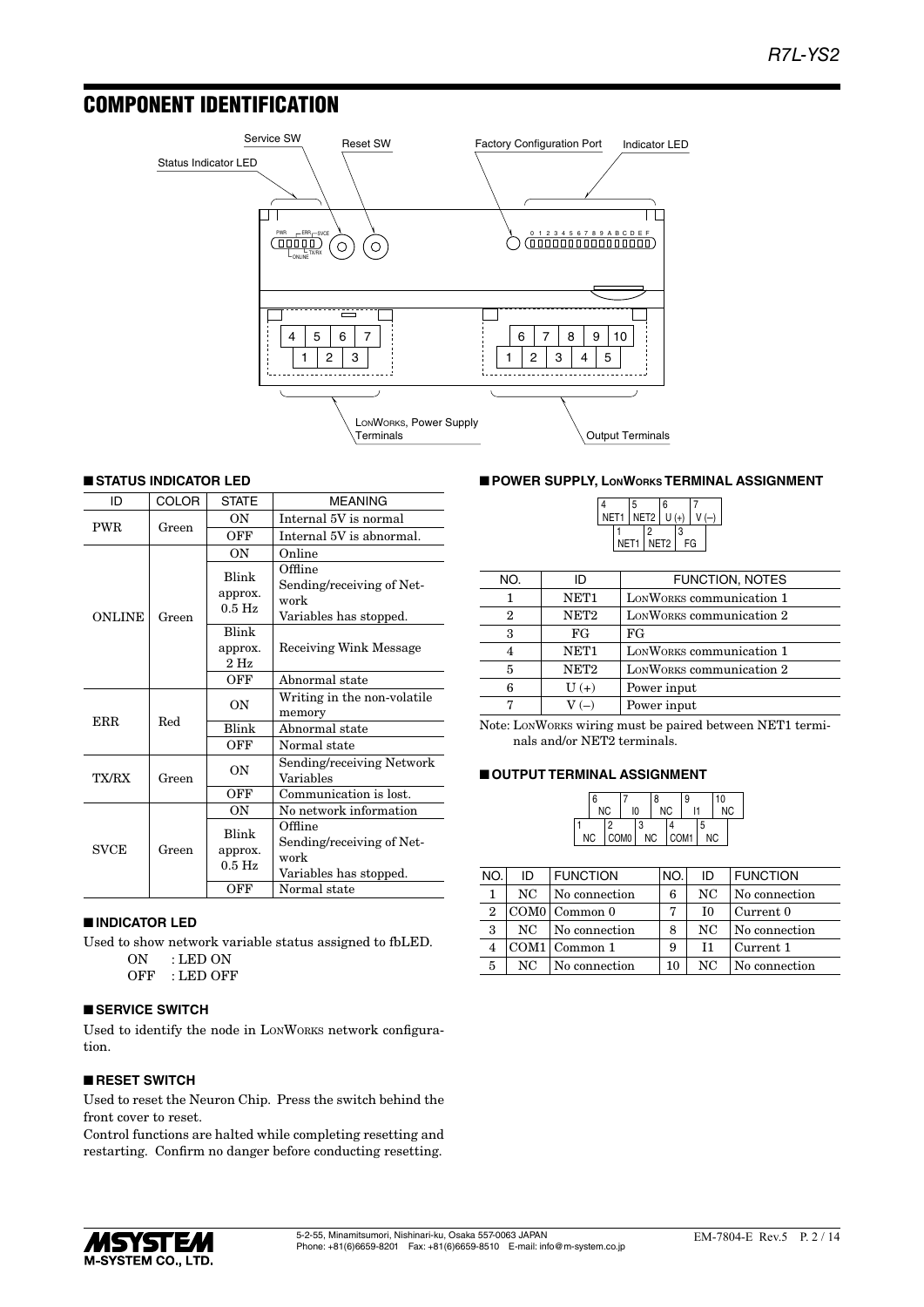### COMPONENT IDENTIFICATION



### ■ **STATUS INDICATOR LED**

| ID            | COLOR | <b>STATE</b>                 | <b>MEANING</b>                                                         |
|---------------|-------|------------------------------|------------------------------------------------------------------------|
| <b>PWR</b>    | Green | OΝ                           | Internal 5V is normal                                                  |
|               |       | OFF                          | Internal 5V is abnormal.                                               |
|               |       | <b>ON</b>                    | Online                                                                 |
| <b>ONLINE</b> | Green | Blink<br>approx.<br>$0.5$ Hz | Offline<br>Sending/receiving of Net-<br>work<br>Variables has stopped. |
|               |       | Blink                        |                                                                        |
|               |       | approx.<br>$2$ Hz            | Receiving Wink Message                                                 |
|               |       | OFF                          | Abnormal state                                                         |
|               |       | ON                           | Writing in the non-volatile<br>memory                                  |
| ERR           | Red   | <b>Blink</b>                 | Abnormal state                                                         |
|               |       | OFF                          | Normal state                                                           |
| TX/RX         | Green | OΝ                           | Sending/receiving Network<br>Variables                                 |
|               |       | OFF                          | Communication is lost.                                                 |
|               |       | ON                           | No network information                                                 |
| <b>SVCE</b>   | Green | Blink<br>approx.<br>$0.5$ Hz | Offline<br>Sending/receiving of Net-<br>work<br>Variables has stopped. |
|               |       | OFF                          | Normal state                                                           |

### ■ **INDICATOR LED**

Used to show network variable status assigned to fbLED. ON : LED ON

OFF : LED OFF

### ■ **SERVICE SWITCH**

Used to identify the node in LONWORKS network configuration.

### ■ **RESET SWITCH**

Used to reset the Neuron Chip. Press the switch behind the front cover to reset.

Control functions are halted while completing resetting and restarting. Confirm no danger before conducting resetting.

### ■ **POWER SUPPLY, LONWORKS TERMINAL ASSIGNMENT**

|  |                  | 5    |               | 6    |    |  |
|--|------------------|------|---------------|------|----|--|
|  | NET <sub>1</sub> |      | NET2 $ U(+) $ |      |    |  |
|  |                  |      | 2             |      | 3  |  |
|  |                  | NET1 |               | NET2 | FG |  |

| NO. | ID               | <b>FUNCTION, NOTES</b>   |
|-----|------------------|--------------------------|
|     | NET1             | LONWORKS communication 1 |
| 2   | NET <sub>2</sub> | LONWORKS communication 2 |
| 3   | FG               | FG                       |
| 4   | NET <sub>1</sub> | LONWORKS communication 1 |
| 5   | NET <sub>2</sub> | LONWORKS communication 2 |
| 6   | $U(+)$           | Power input              |
|     | $V(-)$           | Power input              |

Note: LONWORKS wiring must be paired between NET1 terminals and/or NET2 terminals.

#### ■ **OUTPUT TERMINAL ASSIGNMENT**

| ۱6<br><b>NC</b> |   | 10               |   | 8<br><b>NC</b> |      | 9 |   | 10<br><b>NC</b> |  |
|-----------------|---|------------------|---|----------------|------|---|---|-----------------|--|
|                 | C |                  | 3 |                |      |   | 5 |                 |  |
| <b>NC</b>       |   | COM <sub>0</sub> |   | <b>NC</b>      | COM1 |   |   | ΝC              |  |

| NO.            | ID  | <b>FUNCTION</b>   | NO. | ID | <b>FUNCTION</b> |
|----------------|-----|-------------------|-----|----|-----------------|
| 1              | NC  | No connection     | 6   | NC | No connection   |
| $\overline{2}$ |     | $COM0$   Common 0 |     | T0 | Current 0       |
| 3              | NC. | No connection     | 8   | NC | No connection   |
|                |     | COM1 Common 1     | 9   | T1 | Current 1       |
| 5              | NC  | No connection     | 10  | NC | No connection   |

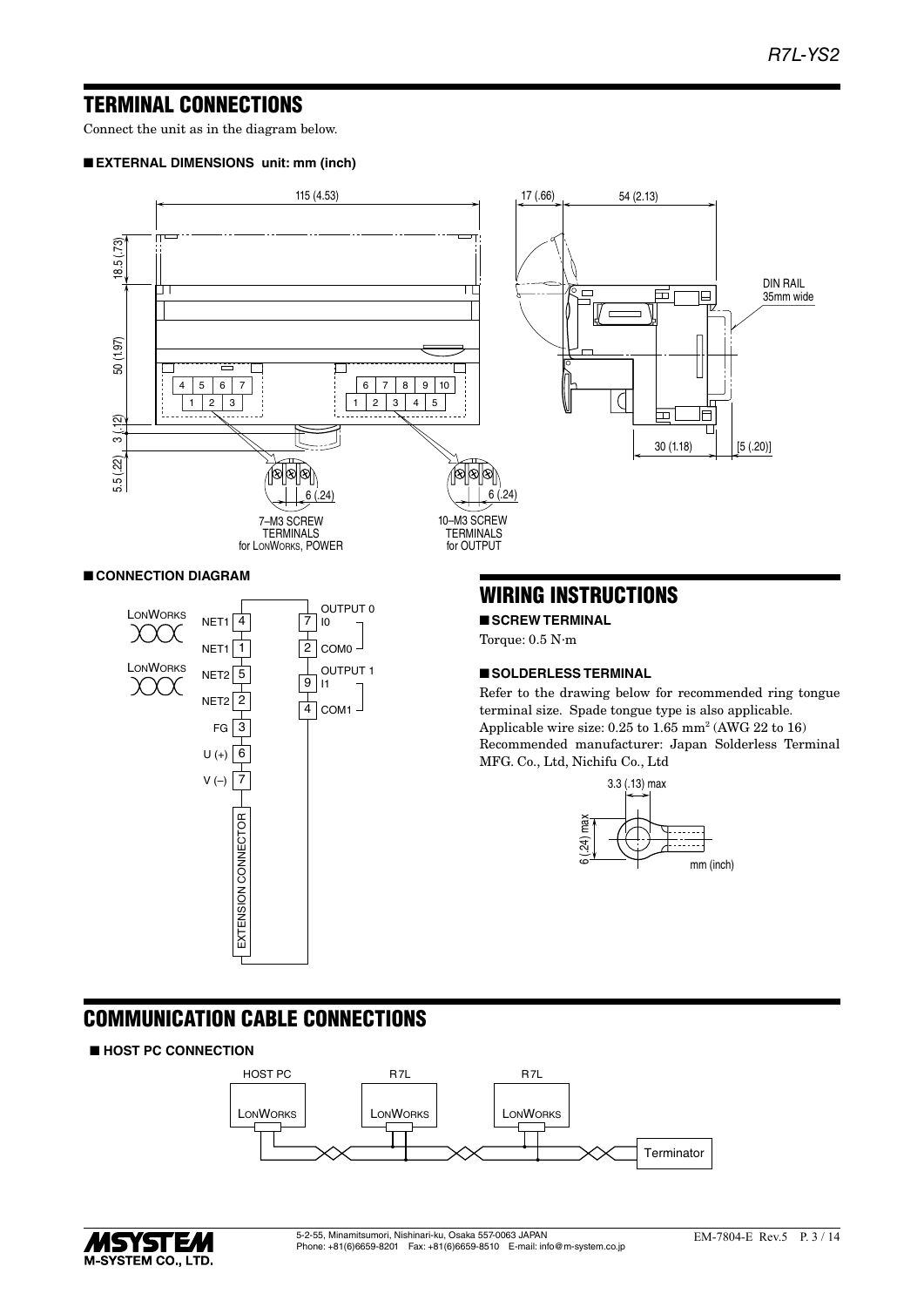### TERMINAL CONNECTIONS

Connect the unit as in the diagram below.

### ■ **EXTERNAL DIMENSIONS unit: mm (inch)**



### ■ **CONNECTION DIAGRAM**



### WIRING INSTRUCTIONS

■ **SCREW TERMINAL**

Torque: 0.5 N·m

### ■ **SOLDERLESS TERMINAL**

Refer to the drawing below for recommended ring tongue terminal size. Spade tongue type is also applicable. Applicable wire size:  $0.25$  to  $1.65$  mm<sup>2</sup> (AWG 22 to 16) Recommended manufacturer: Japan Solderless Terminal MFG. Co., Ltd, Nichifu Co., Ltd



## COMMUNICATION CABLE CONNECTIONS

### ■ **HOST PC CONNECTION**



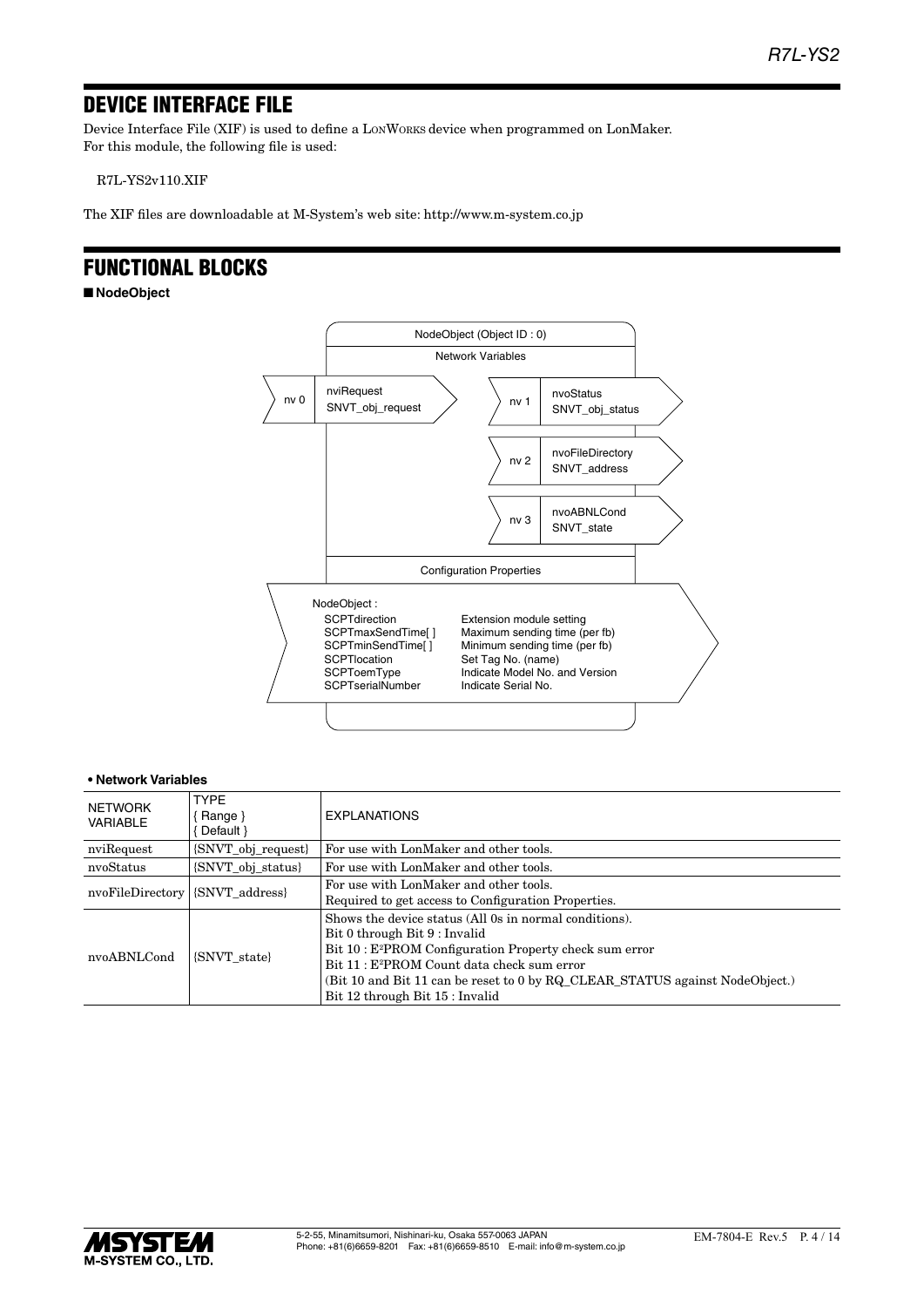## DEVICE INTERFACE FILE

Device Interface File (XIF) is used to define a LONWORKS device when programmed on LonMaker. For this module, the following file is used:

R7L-YS2v110.XIF

The XIF files are downloadable at M-System's web site: http://www.m-system.co.jp

### FUNCTIONAL BLOCKS

■ **NodeObject**



| NETWORK<br>VARIABLE                | <b>TYPF</b><br>Range }<br>Default }                          | <b>EXPLANATIONS</b>                                                                                                                                                                                                                                                                                                                          |  |  |
|------------------------------------|--------------------------------------------------------------|----------------------------------------------------------------------------------------------------------------------------------------------------------------------------------------------------------------------------------------------------------------------------------------------------------------------------------------------|--|--|
| nviRequest                         | {SNVT_obj_request}<br>For use with LonMaker and other tools. |                                                                                                                                                                                                                                                                                                                                              |  |  |
| nvoStatus                          | {SNVT obj status}<br>For use with LonMaker and other tools.  |                                                                                                                                                                                                                                                                                                                                              |  |  |
| {SNVT address}<br>nvoFileDirectory |                                                              | For use with LonMaker and other tools.<br>Required to get access to Configuration Properties.                                                                                                                                                                                                                                                |  |  |
| nvoABNLCond                        | <b>SNVT</b> state                                            | Shows the device status (All 0s in normal conditions).<br>Bit 0 through Bit 9 : Invalid<br>Bit 10 : E <sup>2</sup> PROM Configuration Property check sum error<br>Bit 11 : E <sup>2</sup> PROM Count data check sum error<br>(Bit 10 and Bit 11 can be reset to 0 by RQ CLEAR STATUS against NodeObject.)<br>Bit 12 through Bit 15 : Invalid |  |  |

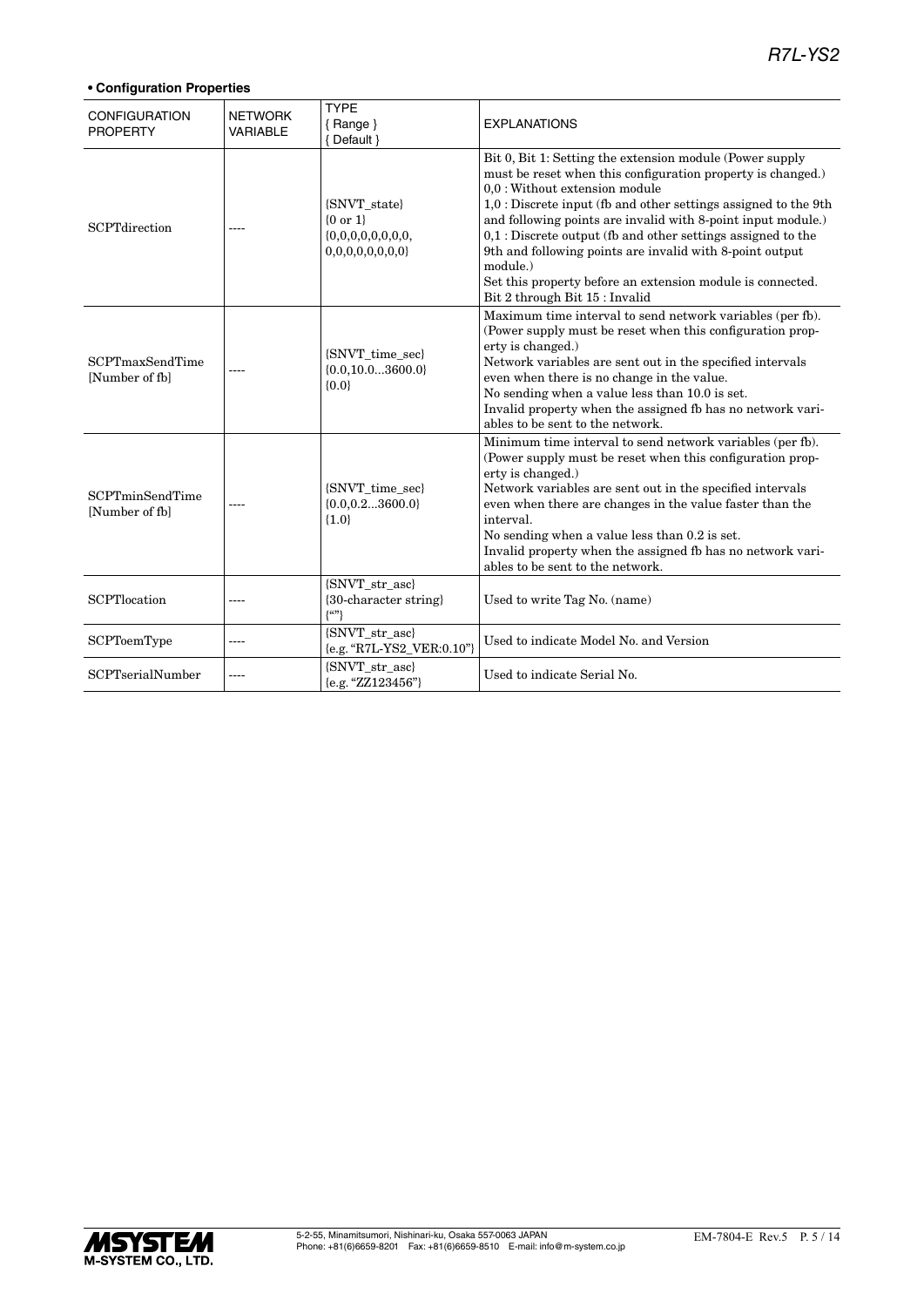### *R7L-YS2*

| <b>CONFIGURATION</b><br><b>PROPERTY</b>  | <b>NETWORK</b><br><b>VARIABLE</b> | <b>TYPE</b><br>$\{$ Range $\}$<br>{ Default }           | <b>EXPLANATIONS</b>                                                                                                                                                                                                                                                                                                                                                                                                                                                                                                                    |
|------------------------------------------|-----------------------------------|---------------------------------------------------------|----------------------------------------------------------------------------------------------------------------------------------------------------------------------------------------------------------------------------------------------------------------------------------------------------------------------------------------------------------------------------------------------------------------------------------------------------------------------------------------------------------------------------------------|
| <b>SCPTdirection</b>                     |                                   | {SNVT_state}<br>${0 or 1}$<br>0,0,0,0,0,0,0,0           | Bit 0, Bit 1: Setting the extension module (Power supply<br>must be reset when this configuration property is changed.)<br>0,0 : Without extension module<br>1,0 : Discrete input (fb and other settings assigned to the 9th<br>and following points are invalid with 8-point input module.)<br>$0,1$ : Discrete output (fb and other settings assigned to the<br>9th and following points are invalid with 8-point output<br>module.)<br>Set this property before an extension module is connected.<br>Bit 2 through Bit 15 : Invalid |
| <b>SCPTmaxSendTime</b><br>[Number of fb] |                                   | {SNVT_time_sec}<br>${0.0, 10.03600.0}$<br>${0.0}$       | Maximum time interval to send network variables (per fb).<br>(Power supply must be reset when this configuration prop-<br>erty is changed.)<br>Network variables are sent out in the specified intervals<br>even when there is no change in the value.<br>No sending when a value less than 10.0 is set.<br>Invalid property when the assigned fb has no network vari-<br>ables to be sent to the network.                                                                                                                             |
| <b>SCPTminSendTime</b><br>[Number of fb] |                                   | {SNVT_time_sec}<br>${0.0, 0.23600.0}$<br>${1.0}$        | Minimum time interval to send network variables (per fb).<br>(Power supply must be reset when this configuration prop-<br>erty is changed.)<br>Network variables are sent out in the specified intervals<br>even when there are changes in the value faster than the<br>interval.<br>No sending when a value less than 0.2 is set.<br>Invalid property when the assigned fb has no network vari-<br>ables to be sent to the network.                                                                                                   |
| SCPTlocation                             | ----                              | {SNVT_str_asc}<br>{30-character string}<br>$\{^{(c)}\}$ | Used to write Tag No. (name)                                                                                                                                                                                                                                                                                                                                                                                                                                                                                                           |
| <b>SCPToemType</b>                       | ----                              | {SNVT_str_asc}<br>{e.g. "R7L-YS2_VER:0.10"}             | Used to indicate Model No. and Version                                                                                                                                                                                                                                                                                                                                                                                                                                                                                                 |
| <b>SCPTserialNumber</b>                  |                                   | {SNVT str asc}<br>{e.g. "ZZ123456"}                     | Used to indicate Serial No.                                                                                                                                                                                                                                                                                                                                                                                                                                                                                                            |

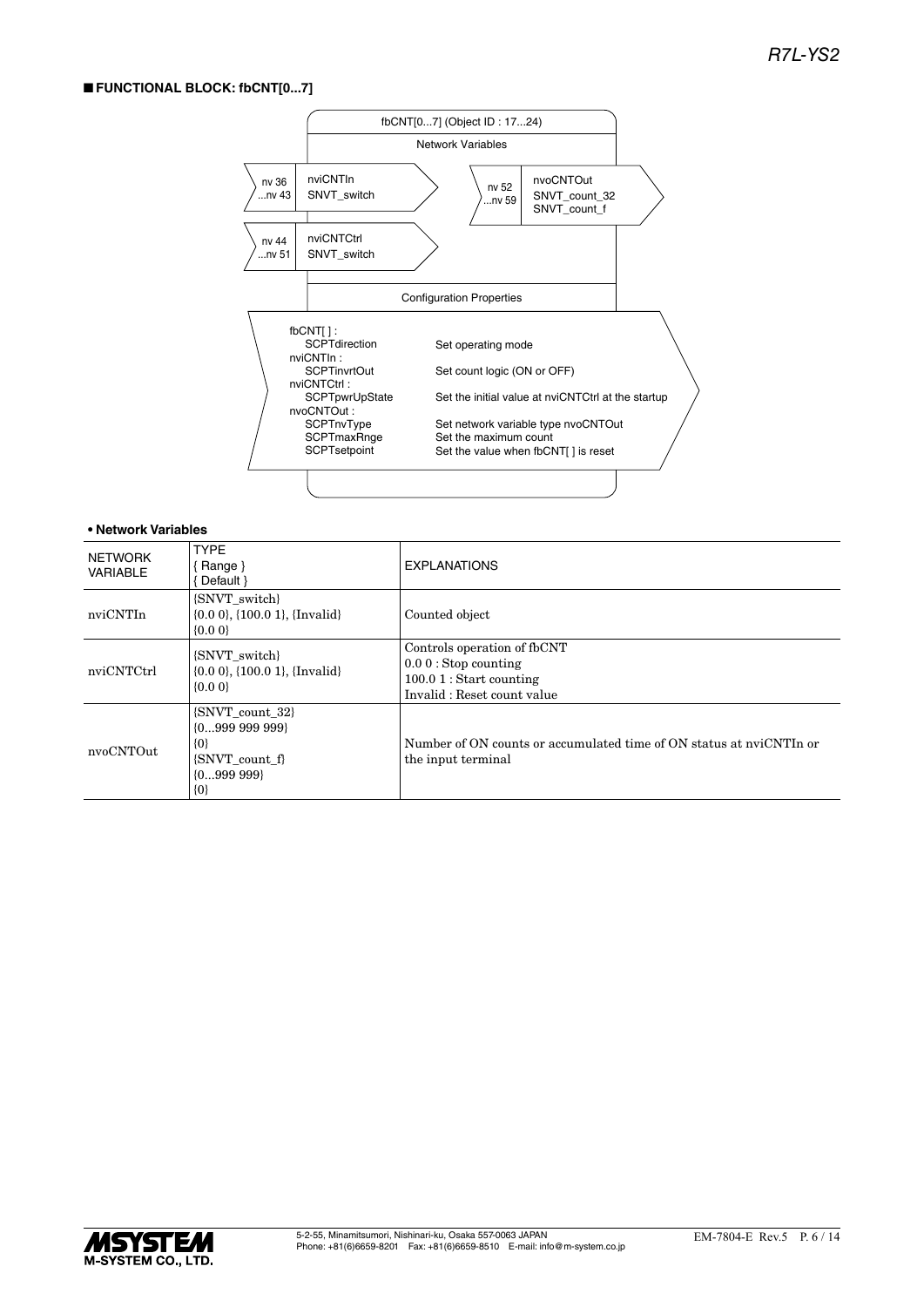### ■ **FUNCTIONAL BLOCK: fbCNT[0...7]**



| <b>NETWORK</b><br><b>VARIABLE</b> | <b>TYPE</b><br>{ Range }<br>Default }                                                              | <b>EXPLANATIONS</b>                                                                                              |
|-----------------------------------|----------------------------------------------------------------------------------------------------|------------------------------------------------------------------------------------------------------------------|
| nviCNTIn                          | {SNVT switch}<br>$\{0.0\ 0\}$ , $\{100.0\ 1\}$ , $\{Invalid\}$<br>$\{0.0\}$                        | Counted object                                                                                                   |
| nviCNTCtrl                        | {SNVT switch}<br>$\{0.0\ 0\}$ , $\{100.0\ 1\}$ , $\{Invalid\}$<br>$\{0.0\}$                        | Controls operation of fbCNT<br>$0.00$ : Stop counting<br>$100.01$ : Start counting<br>Invalid: Reset count value |
| nvoCNTOut                         | {SNVT_count_32}<br>$\{0999\ 999\ 999\}$<br>$\{0\}$<br>{SNVT count f}<br>$\{0999\ 999\}$<br>$\{0\}$ | Number of ON counts or accumulated time of ON status at nyiCNTIn or<br>the input terminal                        |

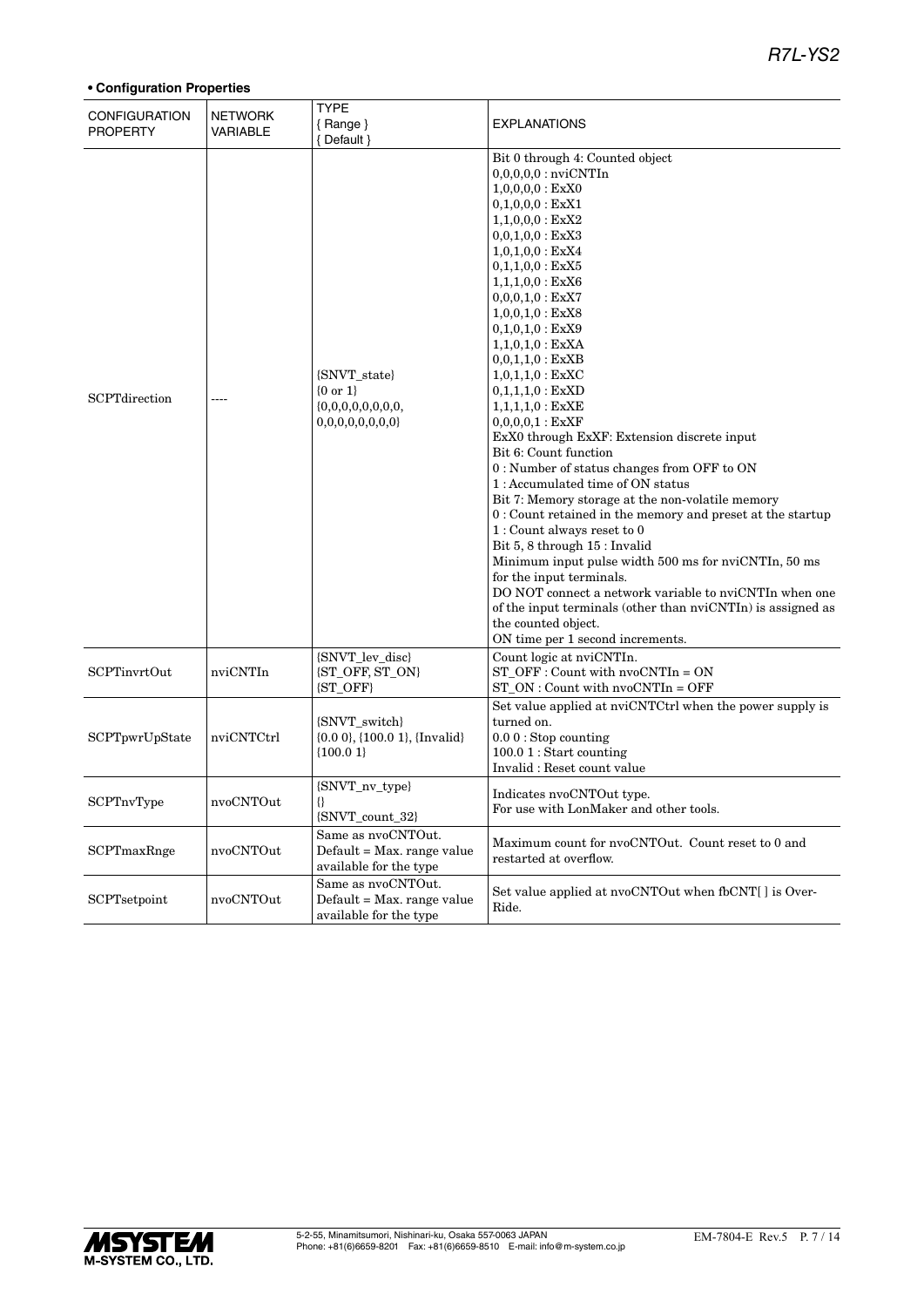### *R7L-YS2*

| <b>CONFIGURATION</b><br><b>PROPERTY</b> | <b>NETWORK</b><br>VARIABLE | <b>TYPE</b><br>${Range}$<br>{Default }                                     | <b>EXPLANATIONS</b>                                                                                                                                                                                                                                                                                                                                                                                                                                                                                                                                                                                                                                                                                                                                                                                                                                                                                                                                                                                                                      |
|-----------------------------------------|----------------------------|----------------------------------------------------------------------------|------------------------------------------------------------------------------------------------------------------------------------------------------------------------------------------------------------------------------------------------------------------------------------------------------------------------------------------------------------------------------------------------------------------------------------------------------------------------------------------------------------------------------------------------------------------------------------------------------------------------------------------------------------------------------------------------------------------------------------------------------------------------------------------------------------------------------------------------------------------------------------------------------------------------------------------------------------------------------------------------------------------------------------------|
| SCPTdirection                           | ----                       | {SNVT_state}<br>${0 \text{ or } 1}$<br>0,0,0,0,0,0,0,0                     | Bit 0 through 4: Counted object<br>$0,0,0,0,0:$ nviCNTIn<br>$1,0,0,0,0$ : ExX0<br>$0,1,0,0,0$ : ExX1<br>$1,1,0,0,0$ : ExX2<br>$0,0,1,0,0$ : ExX3<br>$1,0,1,0,0$ : ExX4<br>$0,1,1,0,0$ : ExX5<br>$1,1,1,0,0$ : ExX6<br>$0,0,0,1,0:$ ExX7<br>$1,0,0,1,0$ : ExX8<br>$0,1,0,1,0:$ ExX9<br>$1,1,0,1,0$ : ExXA<br>$0,0,1,1,0:$ ExXB<br>$1,0,1,1,0:$ ExXC<br>$0,1,1,1,0:$ ExXD<br>$1,1,1,1,0:$ ExXE<br>0,0,0,0,1 : EXXF<br>ExX0 through ExXF: Extension discrete input<br>Bit 6: Count function<br>0 : Number of status changes from OFF to ON<br>1: Accumulated time of ON status<br>Bit 7: Memory storage at the non-volatile memory<br>0 : Count retained in the memory and preset at the startup<br>$1:$ Count always reset to $0$<br>Bit 5, 8 through 15 : Invalid<br>Minimum input pulse width 500 ms for nviCNTIn, 50 ms<br>for the input terminals.<br>DO NOT connect a network variable to nviCNTIn when one<br>of the input terminals (other than nviCNTIn) is assigned as<br>the counted object.<br>ON time per 1 second increments. |
| <b>SCPTinvrtOut</b>                     | nviCNTIn                   | {SNVT_lev_disc}<br>{ST_OFF, ST_ON}<br>{ST_OFF}                             | Count logic at nviCNTIn.<br>$ST_OFF: Count with nvoCNTIn = ON$<br>$ST_ON:$ Count with $nvoCNTIn = OFF$                                                                                                                                                                                                                                                                                                                                                                                                                                                                                                                                                                                                                                                                                                                                                                                                                                                                                                                                   |
| SCPTpwrUpState                          | nviCNTCtrl                 | {SNVT_switch}<br>$\{0.0\,0\},\{100.0\,1\},\{Invalid\}$<br>${100.01}$       | Set value applied at nviCNTCtrl when the power supply is<br>turned on.<br>$0.00$ : Stop counting<br>100.0 1 : Start counting<br>Invalid: Reset count value                                                                                                                                                                                                                                                                                                                                                                                                                                                                                                                                                                                                                                                                                                                                                                                                                                                                               |
| SCPTnvType                              | nvoCNTOut                  | {SNVT_nv_type}<br>₩<br>{SNVT_count_32}                                     | Indicates nyoCNTOut type.<br>For use with LonMaker and other tools.                                                                                                                                                                                                                                                                                                                                                                                                                                                                                                                                                                                                                                                                                                                                                                                                                                                                                                                                                                      |
| SCPTmaxRnge                             | nvoCNTOut                  | Same as nvoCNTOut.<br>Default = Max. range value<br>available for the type | Maximum count for nvoCNTOut. Count reset to 0 and<br>restarted at overflow.                                                                                                                                                                                                                                                                                                                                                                                                                                                                                                                                                                                                                                                                                                                                                                                                                                                                                                                                                              |
| SCPTsetpoint                            | nvoCNTOut                  | Same as nvoCNTOut.<br>Default = Max. range value<br>available for the type | Set value applied at nvoCNTOut when fbCNT[] is Over-<br>Ride.                                                                                                                                                                                                                                                                                                                                                                                                                                                                                                                                                                                                                                                                                                                                                                                                                                                                                                                                                                            |

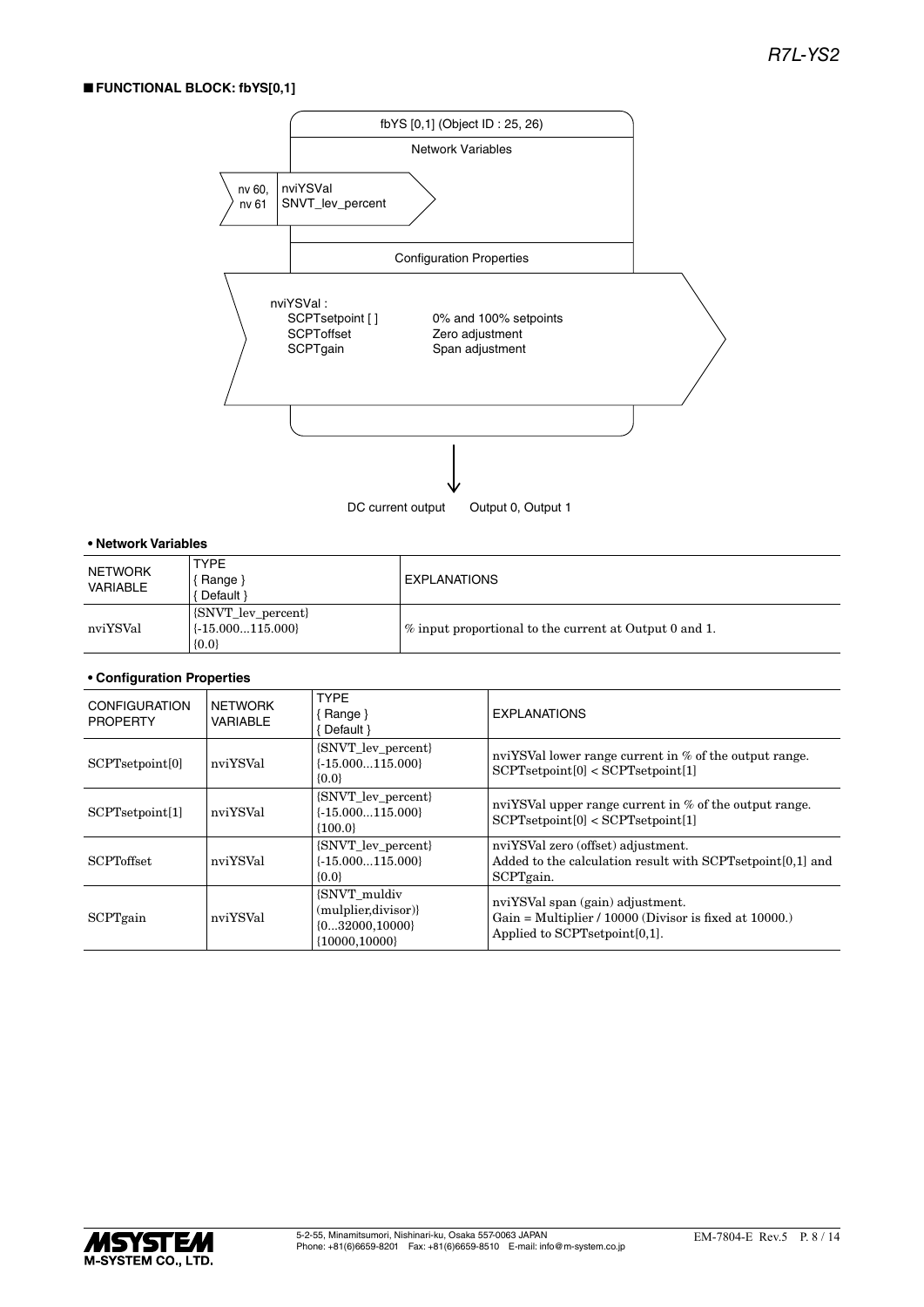### ■ **FUNCTIONAL BLOCK: fbYS[0,1]**



#### **• Network Variables**

| <b>NETWORK</b><br>VARIABLE | <b>TYPE</b><br>Range }<br>Default }                     | <b>EXPLANATIONS</b>                                                |
|----------------------------|---------------------------------------------------------|--------------------------------------------------------------------|
| nviYSVal                   | [SNVT_lev_percent]<br>$\{ -15.000115.000 \}$<br>${0.0}$ | $\frac{1}{2}$ input proportional to the current at Output 0 and 1. |

| <b>CONFIGURATION</b><br><b>PROPERTY</b> | <b>NETWORK</b><br>VARIABLE | <b>TYPF</b><br>Range }<br>Default }                                              | <b>EXPLANATIONS</b>                                                                                                           |
|-----------------------------------------|----------------------------|----------------------------------------------------------------------------------|-------------------------------------------------------------------------------------------------------------------------------|
| SCPTsetpoint[0]                         | nviYSVal                   | {SNVT_lev_percent}<br>$\{-15.000115.000\}$<br>${0.0}$                            | nviYSVal lower range current in % of the output range.<br>SCPT setpoint[0] < SCPT setpoint[1]                                 |
| SCPT set point[1]                       | nviYSVal                   | {SNVT_lev_percent}<br>$\{-15.000115.000\}$<br>${100.0}$                          | nviYSVal upper range current in % of the output range.<br>SCPT setpoint[0] < SCPT setpoint[1]                                 |
| <b>SCPToffset</b>                       | nviYSVal                   | {SNVT_lev_percent}<br>$\{-15.000115.000\}$<br>${0.0}$                            | nviYSVal zero (offset) adjustment.<br>Added to the calculation result with SCPTsetpoint[0,1] and<br>SCPTgain.                 |
| SCPTgain                                | nviYSVal                   | <b>SNVT</b> muldiv<br>(mulplier, divisor)<br>${032000,10000}$<br>${10000.10000}$ | nviYSVal span (gain) adjustment.<br>Gain = Multiplier $/ 10000$ (Divisor is fixed at 10000.)<br>Applied to SCPTsetpoint[0,1]. |

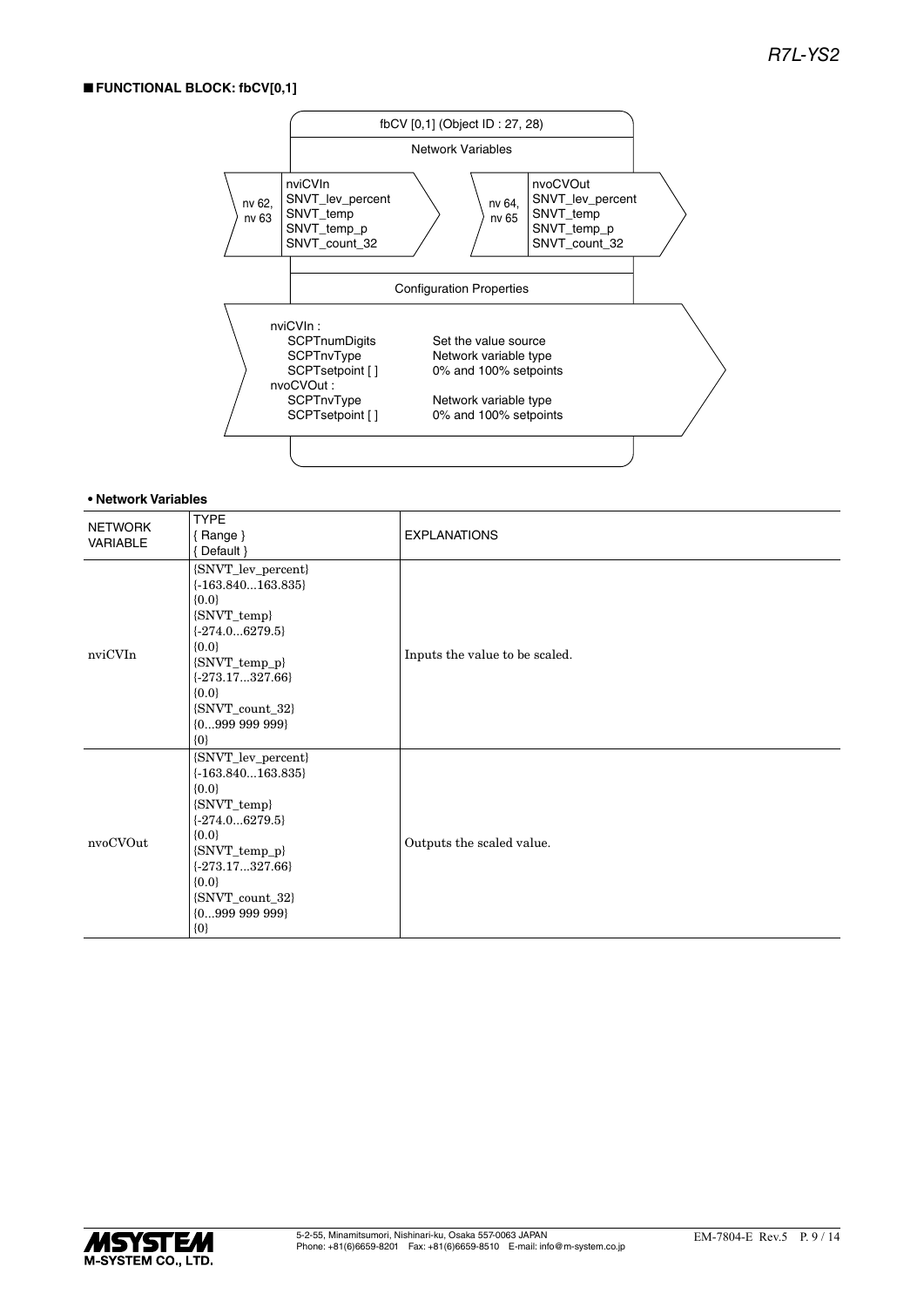### ■ **FUNCTIONAL BLOCK: fbCV[0,1]**



| <b>NETWORK</b><br><b>VARIABLE</b> | <b>TYPE</b><br>${Range}$<br>Default }                                                                                                                                                                        | <b>EXPLANATIONS</b>            |
|-----------------------------------|--------------------------------------------------------------------------------------------------------------------------------------------------------------------------------------------------------------|--------------------------------|
| nviCVIn                           | {SNVT_lev_percent}<br>$\{-163.840163.835\}$<br>${0.0}$<br>{SNVT_temp}<br>$\{-274.06279.5\}$<br>${0.0}$<br>{SNVT_temp_p}<br>$\{-273.17327.66\}$<br>${0.0}$<br>{SNVT_count_32}<br>${099999999}$<br>$\{0\}$     | Inputs the value to be scaled. |
| nvoCVOut                          | {SNVT_lev_percent}<br>$\{-163.840163.835\}$<br>${0.0}$<br>{SNVT_temp}<br>$\{-274.06279.5\}$<br>${0.0}$<br>$\{SNVT_temp_p\}$<br>$\{-273.17327.66\}$<br>${0.0}$<br>{SNVT_count_32}<br>${099999999}$<br>$\{0\}$ | Outputs the scaled value.      |

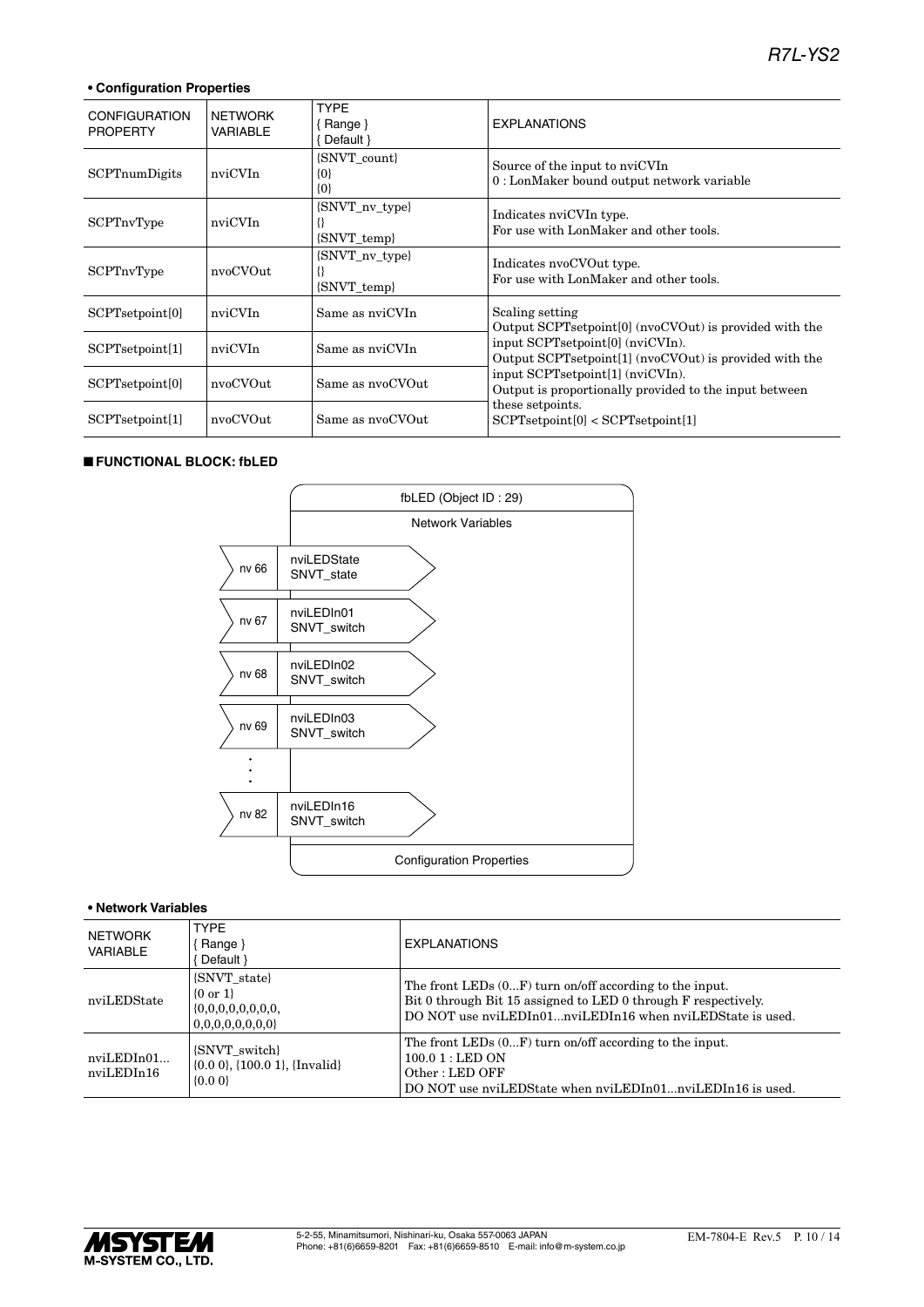### **• Configuration Properties**

| <b>CONFIGURATION</b><br><b>PROPERTY</b> | <b>NETWORK</b><br>VARIABLE | <b>TYPE</b><br>Range }<br>Default $\}$ | <b>EXPLANATIONS</b>                                                                        |
|-----------------------------------------|----------------------------|----------------------------------------|--------------------------------------------------------------------------------------------|
| SCPTnumDigits                           | nviCVIn                    | {SNVT count}<br>$\{0\}$<br>$\{0\}$     | Source of the input to nviCVIn<br>0: LonMaker bound output network variable                |
| <b>SCPTnvType</b>                       | nviCVIn                    | {SNVT_nv_type}<br>{SNVT_temp}          | Indicates nviCVIn type.<br>For use with LonMaker and other tools.                          |
| <b>SCPTnvType</b>                       | nvoCVOut                   | {SNVT_nv_type}<br><b>SNVT</b> temp     | Indicates nvoCVOut type.<br>For use with LonMaker and other tools.                         |
| SCPTsetpoint[0]                         | nviCVIn                    | Same as nviCVIn                        | Scaling setting<br>Output SCPTsetpoint [0] (nvoCVOut) is provided with the                 |
| SCPTsetpoint[1]                         | nviCVIn                    | Same as nviCVIn                        | input SCPTsetpoint[0] (nviCVIn).<br>Output SCPTsetpoint[1] (nvoCVOut) is provided with the |
| SCPTsetpoint[0]                         | nvoCVOut                   | Same as nvoCVOut                       | input SCPTsetpoint[1] (nviCVIn).<br>Output is proportionally provided to the input between |
| SCPTsetpoint[1]                         | nvoCVOut                   | Same as nyoCVOut                       | these setpoints.<br>SCPT setpoint[0] < SCPT setpoint[1]                                    |

#### ■ **FUNCTIONAL BLOCK: fbLED**



| NETWORK<br><b>VARIABLE</b> | <b>TYPE</b><br>{ Range }<br>Default }                                      | <b>EXPLANATIONS</b>                                                                                                                                                                      |  |  |
|----------------------------|----------------------------------------------------------------------------|------------------------------------------------------------------------------------------------------------------------------------------------------------------------------------------|--|--|
| nviLEDState                | (SNVT state)<br>$\{0 \text{ or } 1\}$<br>0,0,0,0,0,0,0,0                   | The front LEDs $(0F)$ turn on/off according to the input.<br>Bit 0 through Bit 15 assigned to LED 0 through F respectively.<br>DO NOT use nviLEDIn01nviLEDIn16 when nviLEDState is used. |  |  |
| nviLEDIn01<br>nviLEDIn16   | {SNVT switch}<br>$\{0.0\ 0\}$ , $\{100.0\ 1\}$ , $\{Invalid\}$<br>${0.00}$ | The front LEDs $(0F)$ turn on/off according to the input.<br>$100.01:$ LED ON<br>Other: LED OFF<br>DO NOT use nviLEDState when nviLEDIn01nviLEDIn16 is used.                             |  |  |

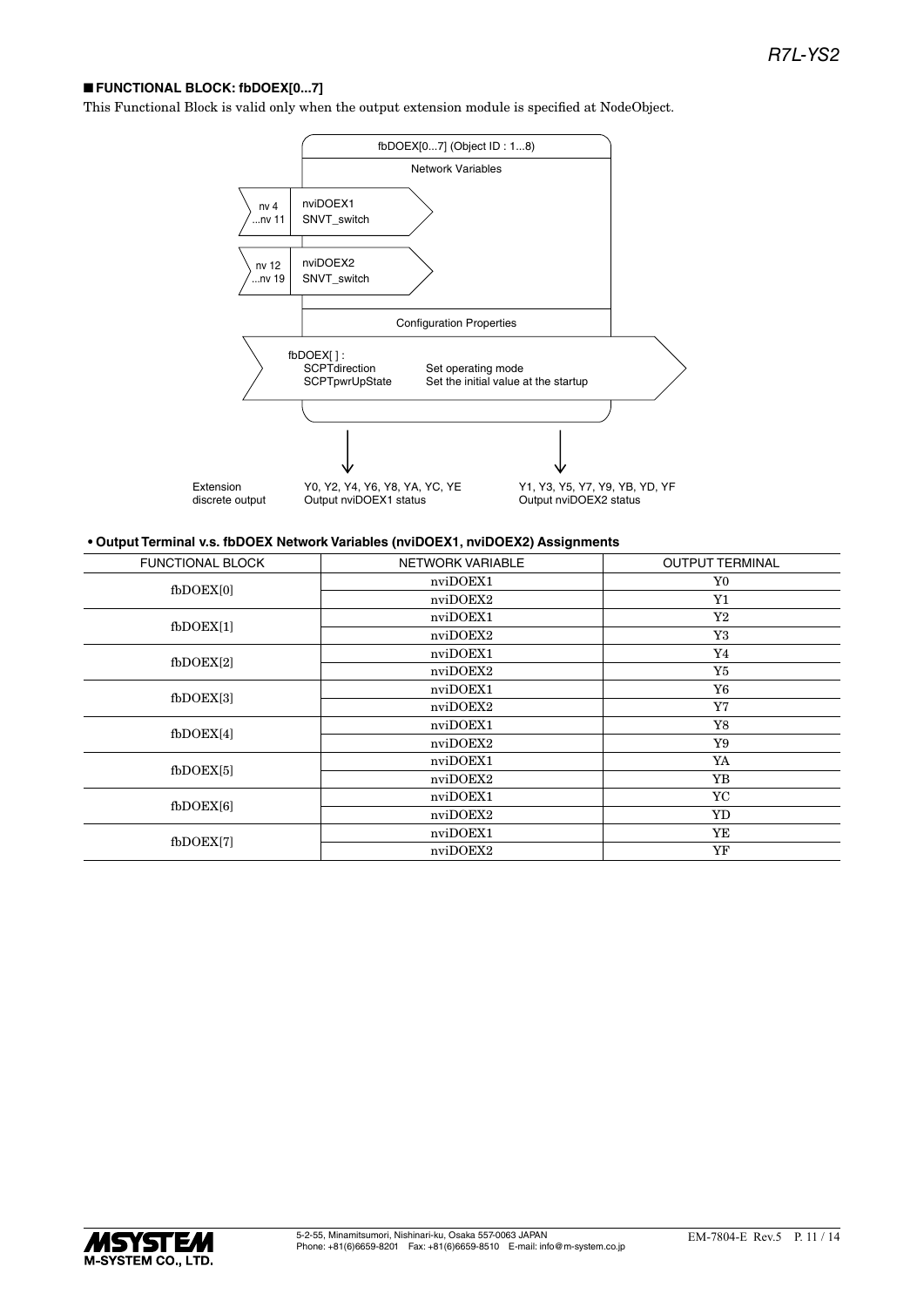### ■ **FUNCTIONAL BLOCK: fbDOEX[0...7]**

This Functional Block is valid only when the output extension module is specified at NodeObject.



### **• Output Terminal v.s. fbDOEX Network Variables (nviDOEX1, nviDOEX2) Assignments**

| <b>FUNCTIONAL BLOCK</b> | NETWORK VARIABLE | <b>OUTPUT TERMINAL</b> |  |
|-------------------------|------------------|------------------------|--|
| fbDOEX[0]               | nviDOEX1         | Y0                     |  |
|                         | nviDOEX2         | ${\rm Y1}$             |  |
| $f_{\rm bDOEX[1]}$      | nviDOEX1         | $\rm Y2$               |  |
|                         | nviDOEX2         | Y3                     |  |
| $f_{\rm bDOEX[2]}$      | nviDOEX1         | Y4                     |  |
|                         | nviDOEX2         | Y5                     |  |
| $f_{\rm bDOEX[3]}$      | nviDOEX1         | Y6                     |  |
|                         | nviDOEX2         | Y7                     |  |
| $f_{\text{bDOEX[4]}}$   | nviDOEX1         | Y8                     |  |
|                         | nviDOEX2         | Y9                     |  |
| $f_{\text{bDOEX}[5]}$   | nviDOEX1         | YA                     |  |
|                         | nviDOEX2         | YB                     |  |
| $f_{\rm bDOEX[6]}$      | nviDOEX1         | YC                     |  |
|                         | nviDOEX2         | YD                     |  |
| fbDOEX[7]               | nviDOEX1         | YE                     |  |
|                         | nviDOEX2         | YF                     |  |

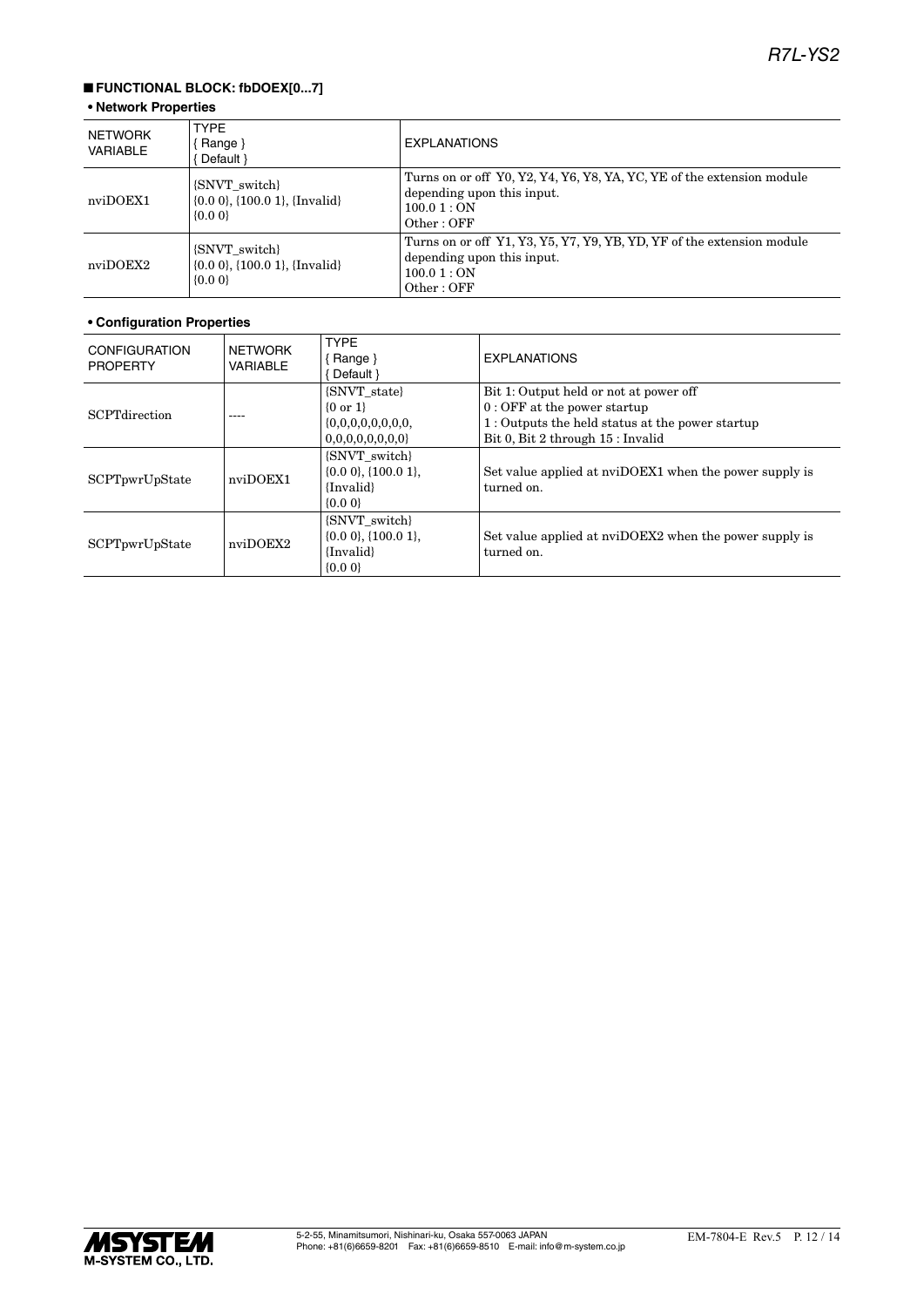### ■ **FUNCTIONAL BLOCK: fbDOEX[0...7]**

### **• Network Properties**

| NETWORK<br><b>VARIABLE</b> | <b>TYPE</b><br>Range $\}$<br>Default }                                          | <b>EXPLANATIONS</b>                                                                                                              |
|----------------------------|---------------------------------------------------------------------------------|----------------------------------------------------------------------------------------------------------------------------------|
| nviDOEX1                   | {SNVT switch}<br>$\{0.0\ 0\}$ , $\{100.0\ 1\}$ , $\{Invalid\}$<br>$\{0.0\}$     | Turns on or off Y0, Y2, Y4, Y6, Y8, YA, YC, YE of the extension module<br>depending upon this input.<br>100.01 : ON<br>Other:OFF |
| nviDOEX2                   | <b>SNVT</b> switch<br>$\{0.0\ 0\}$ , $\{100.0\ 1\}$ , $\{Invalid\}$<br>${0.00}$ | Turns on or off Y1, Y3, Y5, Y7, Y9, YB, YD, YF of the extension module<br>depending upon this input.<br>100.01 : ON<br>Other:OFF |

| <b>CONFIGURATION</b><br><b>PROPERTY</b> | <b>NETWORK</b><br><b>VARIABLE</b> | <b>TYPE</b><br>$\{$ Range $\}$<br>Default }                            | <b>EXPLANATIONS</b>                                                                                                                                             |
|-----------------------------------------|-----------------------------------|------------------------------------------------------------------------|-----------------------------------------------------------------------------------------------------------------------------------------------------------------|
| <b>SCPT</b> direction                   |                                   | {SNVT state}<br>$\{0 \text{ or } 1\}$<br>0,0,0,0,0,0,0,0               | Bit 1: Output held or not at power off<br>$0:$ OFF at the power startup<br>1: Outputs the held status at the power startup<br>Bit 0, Bit 2 through 15 : Invalid |
| SCPTpwrUpState                          | nviDOEX1                          | {SNVT switch}<br>$\{0.0\,0\},\{100.0\,1\},\$<br>{Invalid}<br>$\{0.0\}$ | Set value applied at nviDOEX1 when the power supply is<br>turned on.                                                                                            |
| SCPTpwrUpState                          | nviDOEX2                          | {SNVT switch}<br>$\{0.0\,0\},\{100.0\,1\}.$<br>{Invalid}<br>$\{0.0\}$  | Set value applied at nviDOEX2 when the power supply is<br>turned on.                                                                                            |

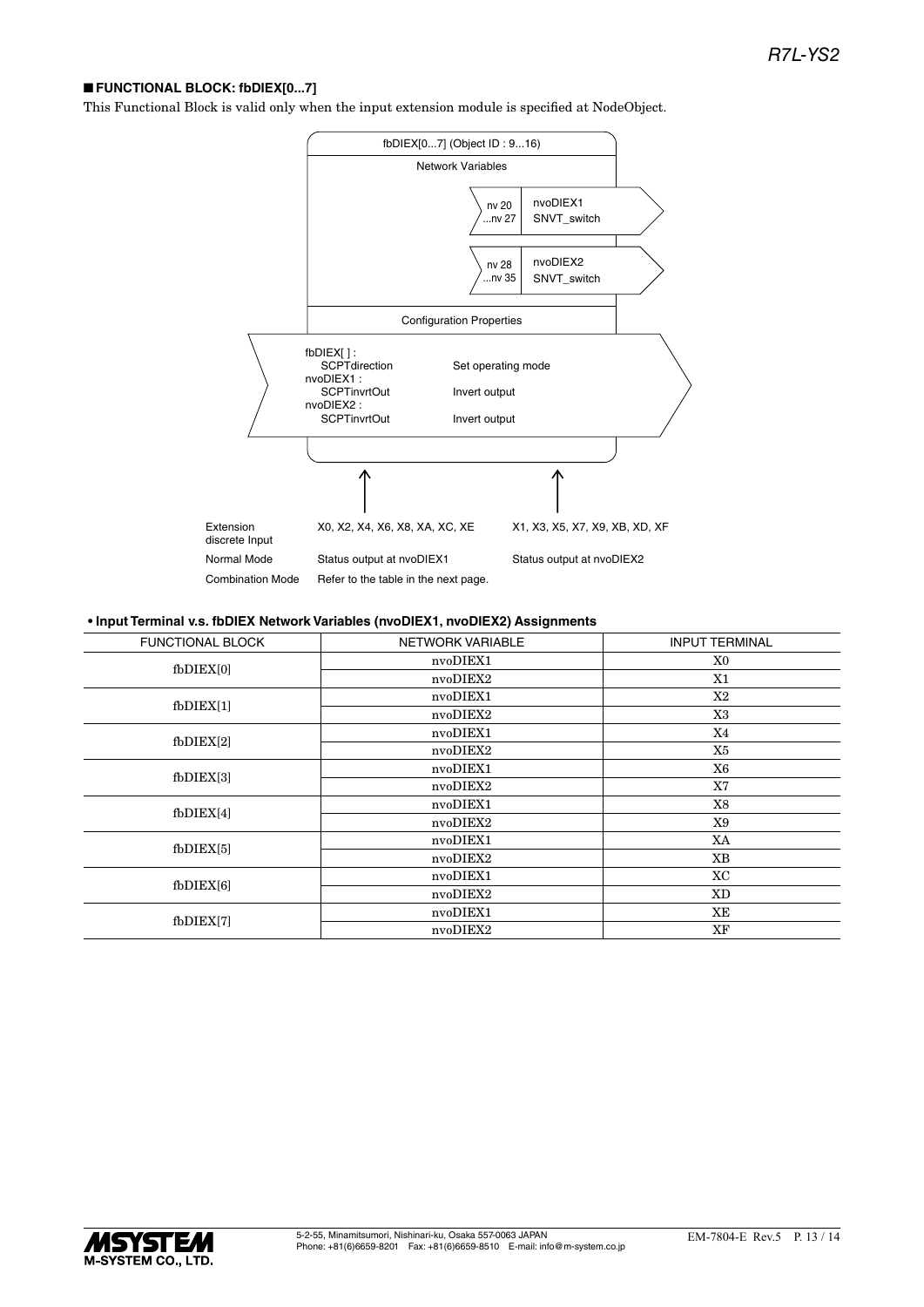### ■ **FUNCTIONAL BLOCK: fbDIEX[0...7]**

This Functional Block is valid only when the input extension module is specified at NodeObject.



#### **• Input Terminal v.s. fbDIEX Network Variables (nvoDIEX1, nvoDIEX2) Assignments**

| <b>FUNCTIONAL BLOCK</b> | NETWORK VARIABLE | <b>INPUT TERMINAL</b> |
|-------------------------|------------------|-----------------------|
| $f$ b $DIEX[0]$         | nvoDIEX1         | X0                    |
|                         | nvoDIEX2         | X1                    |
| $f$ b $DIEX[1]$         | nvoDIEX1         | X2                    |
|                         | nvoDIEX2         | X3                    |
| $f$ b $DIEX[2]$         | nvoDIEX1         | X4                    |
|                         | nvoDIEX2         | X5                    |
| $f$ b $DIEX[3]$         | nvoDIEX1         | X6                    |
|                         | nvoDIEX2         | X7                    |
| $f$ b $DIEX[4]$         | nvoDIEX1         | X8                    |
|                         | nvoDIEX2         | X9                    |
| $f_{\rm bDIEX[5]}$      | nvoDIEX1         | XA                    |
|                         | nvoDIEX2         | XB                    |
| $f$ b $DIEX[6]$         | nvoDIEX1         | XC                    |
|                         | nvoDIEX2         | XD                    |
| fbDIEX[7]               | nvoDIEX1         | XE                    |
|                         | nvoDIEX2         | XF                    |
|                         |                  |                       |